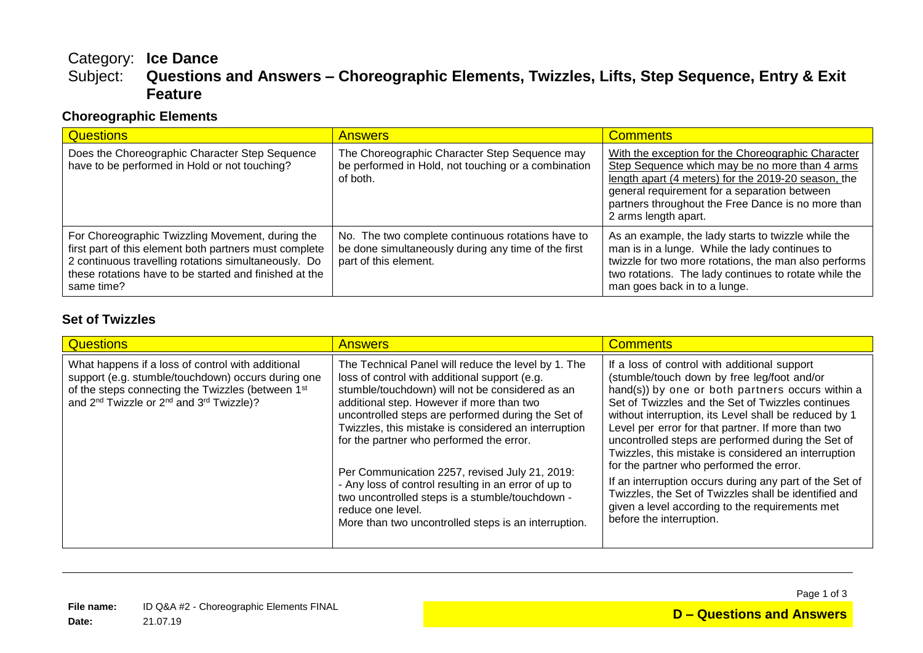# Category: **Ice Dance** Questions and Answers - Choreographic Elements, Twizzles, Lifts, Step Sequence, Entry & Exit **Feature**

### **Choreographic Elements**

| <b>Questions</b>                                                                                                                                                                                                                           | <b>Answers</b>                                                                                                                    | <b>Comments</b>                                                                                                                                                                                                                                                                           |
|--------------------------------------------------------------------------------------------------------------------------------------------------------------------------------------------------------------------------------------------|-----------------------------------------------------------------------------------------------------------------------------------|-------------------------------------------------------------------------------------------------------------------------------------------------------------------------------------------------------------------------------------------------------------------------------------------|
| Does the Choreographic Character Step Sequence<br>have to be performed in Hold or not touching?                                                                                                                                            | The Choreographic Character Step Sequence may<br>be performed in Hold, not touching or a combination<br>of both.                  | With the exception for the Choreographic Character<br>Step Sequence which may be no more than 4 arms<br>length apart (4 meters) for the 2019-20 season, the<br>general requirement for a separation between<br>partners throughout the Free Dance is no more than<br>2 arms length apart. |
| For Choreographic Twizzling Movement, during the<br>first part of this element both partners must complete<br>2 continuous travelling rotations simultaneously. Do<br>these rotations have to be started and finished at the<br>same time? | No. The two complete continuous rotations have to<br>be done simultaneously during any time of the first<br>part of this element. | As an example, the lady starts to twizzle while the<br>man is in a lunge. While the lady continues to<br>twizzle for two more rotations, the man also performs<br>two rotations. The lady continues to rotate while the<br>man goes back in to a lunge.                                   |

#### **Set of Twizzles**

| <b>Questions</b>                                                                                                                                                                                                                             | <b>Answers</b>                                                                                                                                                                                                                                                                                                                                                                                                                                                                                                                                                                                           | <b>Comments</b>                                                                                                                                                                                                                                                                                                                                                                                                                                                                                                                                                                                                                                                                  |
|----------------------------------------------------------------------------------------------------------------------------------------------------------------------------------------------------------------------------------------------|----------------------------------------------------------------------------------------------------------------------------------------------------------------------------------------------------------------------------------------------------------------------------------------------------------------------------------------------------------------------------------------------------------------------------------------------------------------------------------------------------------------------------------------------------------------------------------------------------------|----------------------------------------------------------------------------------------------------------------------------------------------------------------------------------------------------------------------------------------------------------------------------------------------------------------------------------------------------------------------------------------------------------------------------------------------------------------------------------------------------------------------------------------------------------------------------------------------------------------------------------------------------------------------------------|
| What happens if a loss of control with additional<br>support (e.g. stumble/touchdown) occurs during one<br>of the steps connecting the Twizzles (between 1st<br>and 2 <sup>nd</sup> Twizzle or 2 <sup>nd</sup> and 3 <sup>rd</sup> Twizzle)? | The Technical Panel will reduce the level by 1. The<br>loss of control with additional support (e.g.<br>stumble/touchdown) will not be considered as an<br>additional step. However if more than two<br>uncontrolled steps are performed during the Set of<br>Twizzles, this mistake is considered an interruption<br>for the partner who performed the error.<br>Per Communication 2257, revised July 21, 2019:<br>- Any loss of control resulting in an error of up to<br>two uncontrolled steps is a stumble/touchdown -<br>reduce one level.<br>More than two uncontrolled steps is an interruption. | If a loss of control with additional support<br>(stumble/touch down by free leg/foot and/or<br>hand(s)) by one or both partners occurs within a<br>Set of Twizzles and the Set of Twizzles continues<br>without interruption, its Level shall be reduced by 1<br>Level per error for that partner. If more than two<br>uncontrolled steps are performed during the Set of<br>Twizzles, this mistake is considered an interruption<br>for the partner who performed the error.<br>If an interruption occurs during any part of the Set of<br>Twizzles, the Set of Twizzles shall be identified and<br>given a level according to the requirements met<br>before the interruption. |

Page 1 of 3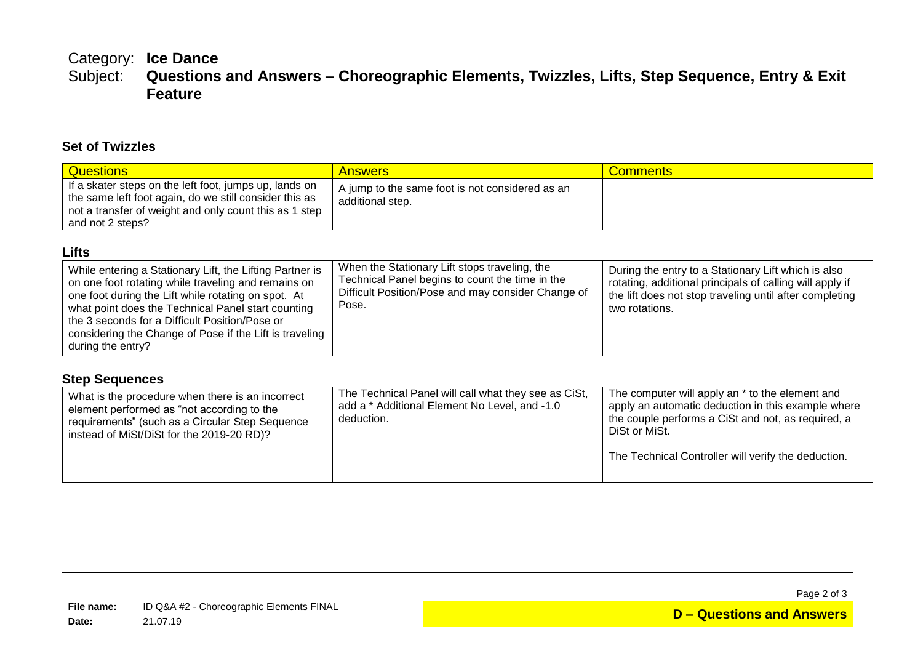### Category: **Ice Dance** Questions and Answers - Choreographic Elements, Twizzles, Lifts, Step Sequence, Entry & Exit **Feature**

#### **Set of Twizzles**

| <b>Questions</b>                                                                                                                                                                               | <b>Answers</b>                                                      | <b>Comments</b> |
|------------------------------------------------------------------------------------------------------------------------------------------------------------------------------------------------|---------------------------------------------------------------------|-----------------|
| If a skater steps on the left foot, jumps up, lands on<br>the same left foot again, do we still consider this as<br>not a transfer of weight and only count this as 1 step<br>and not 2 steps? | A jump to the same foot is not considered as an<br>additional step. |                 |

#### **Lifts**

| While entering a Stationary Lift, the Lifting Partner is<br>on one foot rotating while traveling and remains on<br>one foot during the Lift while rotating on spot. At<br>what point does the Technical Panel start counting<br>the 3 seconds for a Difficult Position/Pose or<br>considering the Change of Pose if the Lift is traveling<br>during the entry? | When the Stationary Lift stops traveling, the<br>Technical Panel begins to count the time in the<br>Difficult Position/Pose and may consider Change of<br>Pose. | During the entry to a Stationary Lift which is also<br>rotating, additional principals of calling will apply if<br>the lift does not stop traveling until after completing<br>two rotations. |
|----------------------------------------------------------------------------------------------------------------------------------------------------------------------------------------------------------------------------------------------------------------------------------------------------------------------------------------------------------------|-----------------------------------------------------------------------------------------------------------------------------------------------------------------|----------------------------------------------------------------------------------------------------------------------------------------------------------------------------------------------|
|----------------------------------------------------------------------------------------------------------------------------------------------------------------------------------------------------------------------------------------------------------------------------------------------------------------------------------------------------------------|-----------------------------------------------------------------------------------------------------------------------------------------------------------------|----------------------------------------------------------------------------------------------------------------------------------------------------------------------------------------------|

#### **Step Sequences**

| What is the procedure when there is an incorrect | The Technical Panel will call what they see as CiSt, |
|--------------------------------------------------|------------------------------------------------------|
| add a * Additional Element No Level, and -1.0    | The computer will apply an * to the element and      |
| element performed as "not according to the       | apply an automatic deduction in this example where   |
| deduction.                                       | the couple performs a CiSt and not, as required, a   |
| requirements" (such as a Circular Step Sequence  | DiSt or MiSt.                                        |
| instead of MiSt/DiSt for the 2019-20 RD)?        | The Technical Controller will verify the deduction.  |

Page 2 of 3